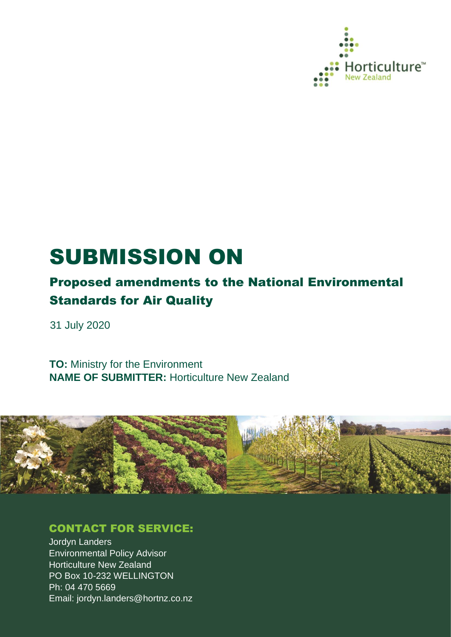

# SUBMISSION ON

# Proposed amendments to the National Environmental Standards for Air Quality

31 July 2020

**TO:** Ministry for the Environment **NAME OF SUBMITTER:** Horticulture New Zealand



### CONTACT FOR SERVICE:

Jordyn Landers Environmental Policy Advisor Horticulture New Zealand PO Box 10-232 WELLINGTON Ph: 04 470 5669 Email: jordyn.landers@hortnz.co.nz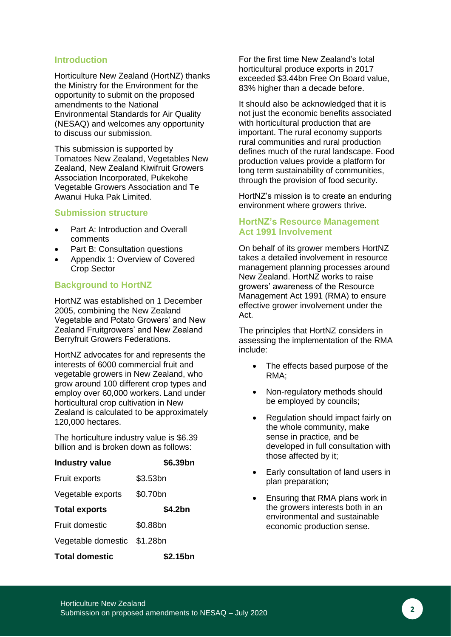#### **Introduction**

Horticulture New Zealand (HortNZ) thanks the Ministry for the Environment for the opportunity to submit on the proposed amendments to the National Environmental Standards for Air Quality (NESAQ) and welcomes any opportunity to discuss our submission.

This submission is supported by Tomatoes New Zealand, Vegetables New Zealand, New Zealand Kiwifruit Growers Association Incorporated, Pukekohe Vegetable Growers Association and Te Awanui Huka Pak Limited.

#### **Submission structure**

- Part A: Introduction and Overall comments
- Part B: Consultation questions
- Appendix 1: Overview of Covered Crop Sector

#### **Background to HortNZ**

HortNZ was established on 1 December 2005, combining the New Zealand Vegetable and Potato Growers' and New Zealand Fruitgrowers' and New Zealand Berryfruit Growers Federations.

HortNZ advocates for and represents the interests of 6000 commercial fruit and vegetable growers in New Zealand, who grow around 100 different crop types and employ over 60,000 workers. Land under horticultural crop cultivation in New Zealand is calculated to be approximately 120,000 hectares.

The horticulture industry value is \$6.39 billion and is broken down as follows:

| <b>Industry value</b>       | \$6.39bn             |
|-----------------------------|----------------------|
| <b>Fruit exports</b>        | \$3.53 <sub>bn</sub> |
| Vegetable exports           | \$0.70bn             |
| <b>Total exports</b>        | \$4.2bn              |
| Fruit domestic              | \$0.88bn             |
| Vegetable domestic \$1.28bn |                      |
| <b>Total domestic</b>       | \$2.15bn             |

For the first time New Zealand's total horticultural produce exports in 2017 exceeded \$3.44bn Free On Board value, 83% higher than a decade before.

It should also be acknowledged that it is not just the economic benefits associated with horticultural production that are important. The rural economy supports rural communities and rural production defines much of the rural landscape. Food production values provide a platform for long term sustainability of communities, through the provision of food security.

HortNZ's mission is to create an enduring environment where growers thrive.

#### **HortNZ's Resource Management Act 1991 Involvement**

On behalf of its grower members HortNZ takes a detailed involvement in resource management planning processes around New Zealand. HortNZ works to raise growers' awareness of the Resource Management Act 1991 (RMA) to ensure effective grower involvement under the Act.

The principles that HortNZ considers in assessing the implementation of the RMA include:

- The effects based purpose of the RMA;
- Non-regulatory methods should be employed by councils;
- Regulation should impact fairly on the whole community, make sense in practice, and be developed in full consultation with those affected by it;
- Early consultation of land users in plan preparation;
- Ensuring that RMA plans work in the growers interests both in an environmental and sustainable economic production sense.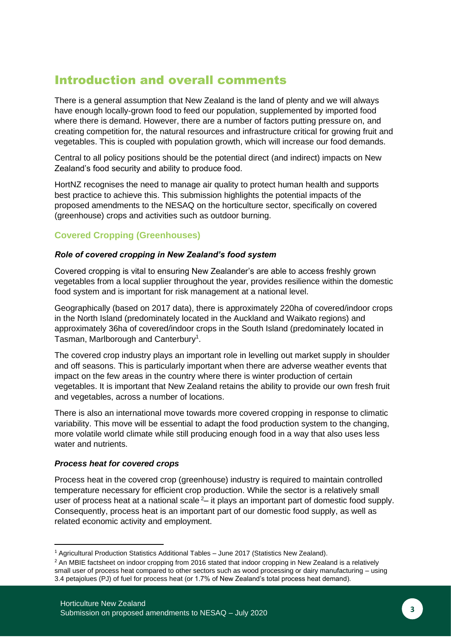### Introduction and overall comments

There is a general assumption that New Zealand is the land of plenty and we will always have enough locally-grown food to feed our population, supplemented by imported food where there is demand. However, there are a number of factors putting pressure on, and creating competition for, the natural resources and infrastructure critical for growing fruit and vegetables. This is coupled with population growth, which will increase our food demands.

Central to all policy positions should be the potential direct (and indirect) impacts on New Zealand's food security and ability to produce food.

HortNZ recognises the need to manage air quality to protect human health and supports best practice to achieve this. This submission highlights the potential impacts of the proposed amendments to the NESAQ on the horticulture sector, specifically on covered (greenhouse) crops and activities such as outdoor burning.

#### **Covered Cropping (Greenhouses)**

#### *Role of covered cropping in New Zealand's food system*

Covered cropping is vital to ensuring New Zealander's are able to access freshly grown vegetables from a local supplier throughout the year, provides resilience within the domestic food system and is important for risk management at a national level.

Geographically (based on 2017 data), there is approximately 220ha of covered/indoor crops in the North Island (predominately located in the Auckland and Waikato regions) and approximately 36ha of covered/indoor crops in the South Island (predominately located in Tasman, Marlborough and Canterbury<sup>1</sup>.

The covered crop industry plays an important role in levelling out market supply in shoulder and off seasons. This is particularly important when there are adverse weather events that impact on the few areas in the country where there is winter production of certain vegetables. It is important that New Zealand retains the ability to provide our own fresh fruit and vegetables, across a number of locations.

There is also an international move towards more covered cropping in response to climatic variability. This move will be essential to adapt the food production system to the changing, more volatile world climate while still producing enough food in a way that also uses less water and nutrients.

#### *Process heat for covered crops*

Process heat in the covered crop (greenhouse) industry is required to maintain controlled temperature necessary for efficient crop production. While the sector is a relatively small user of process heat at a national scale  $2-$  it plays an important part of domestic food supply. Consequently, process heat is an important part of our domestic food supply, as well as related economic activity and employment.

<sup>&</sup>lt;sup>1</sup> Agricultural Production Statistics Additional Tables – June 2017 (Statistics New Zealand).

<sup>&</sup>lt;sup>2</sup> An MBIE factsheet on indoor cropping from 2016 stated that indoor cropping in New Zealand is a relatively small user of process heat compared to other sectors such as wood processing or dairy manufacturing – using 3.4 petajolues (PJ) of fuel for process heat (or 1.7% of New Zealand's total process heat demand).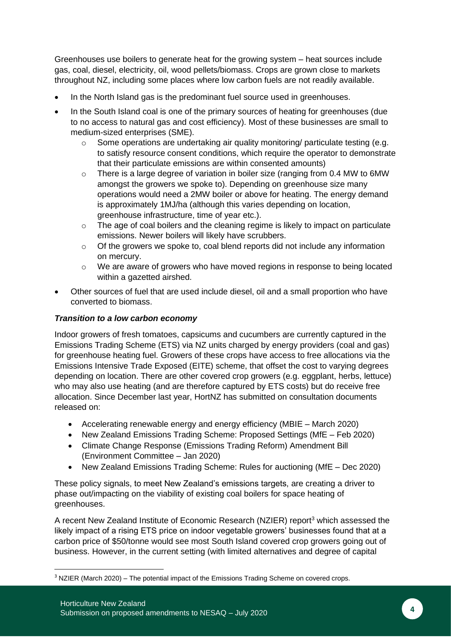Greenhouses use boilers to generate heat for the growing system – heat sources include gas, coal, diesel, electricity, oil, wood pellets/biomass. Crops are grown close to markets throughout NZ, including some places where low carbon fuels are not readily available.

- In the North Island gas is the predominant fuel source used in greenhouses.
- In the South Island coal is one of the primary sources of heating for greenhouses (due to no access to natural gas and cost efficiency). Most of these businesses are small to medium-sized enterprises (SME).
	- o Some operations are undertaking air quality monitoring/ particulate testing (e.g. to satisfy resource consent conditions, which require the operator to demonstrate that their particulate emissions are within consented amounts)
	- o There is a large degree of variation in boiler size (ranging from 0.4 MW to 6MW amongst the growers we spoke to). Depending on greenhouse size many operations would need a 2MW boiler or above for heating. The energy demand is approximately 1MJ/ha (although this varies depending on location, greenhouse infrastructure, time of year etc.).
	- o The age of coal boilers and the cleaning regime is likely to impact on particulate emissions. Newer boilers will likely have scrubbers.
	- o Of the growers we spoke to, coal blend reports did not include any information on mercury.
	- o We are aware of growers who have moved regions in response to being located within a gazetted airshed.
- Other sources of fuel that are used include diesel, oil and a small proportion who have converted to biomass.

#### *Transition to a low carbon economy*

Indoor growers of fresh tomatoes, capsicums and cucumbers are currently captured in the Emissions Trading Scheme (ETS) via NZ units charged by energy providers (coal and gas) for greenhouse heating fuel. Growers of these crops have access to free allocations via the Emissions Intensive Trade Exposed (EITE) scheme, that offset the cost to varying degrees depending on location. There are other covered crop growers (e.g. eggplant, herbs, lettuce) who may also use heating (and are therefore captured by ETS costs) but do receive free allocation. Since December last year, HortNZ has submitted on consultation documents released on:

- Accelerating renewable energy and energy efficiency (MBIE March 2020)
- New Zealand Emissions Trading Scheme: Proposed Settings (MfE Feb 2020)
- Climate Change Response (Emissions Trading Reform) Amendment Bill (Environment Committee – Jan 2020)
- New Zealand Emissions Trading Scheme: Rules for auctioning (MfE Dec 2020)

These policy signals, to meet New Zealand's emissions targets, are creating a driver to phase out/impacting on the viability of existing coal boilers for space heating of greenhouses.

A recent New Zealand Institute of Economic Research (NZIER) report<sup>3</sup> which assessed the likely impact of a rising ETS price on indoor vegetable growers' businesses found that at a carbon price of \$50/tonne would see most South Island covered crop growers going out of business. However, in the current setting (with limited alternatives and degree of capital

 $3$  NZIER (March 2020) – The potential impact of the Emissions Trading Scheme on covered crops.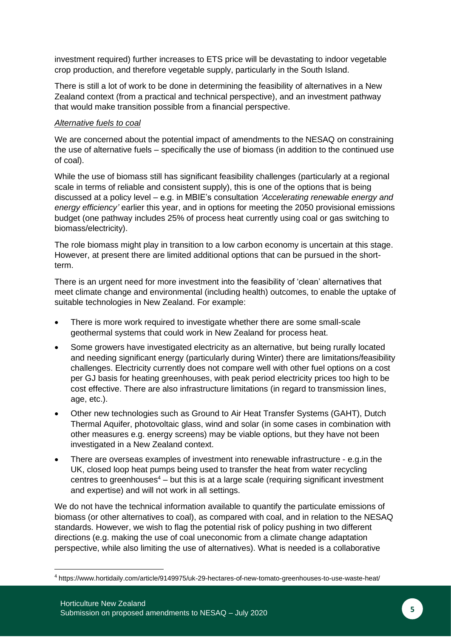investment required) further increases to ETS price will be devastating to indoor vegetable crop production, and therefore vegetable supply, particularly in the South Island.

There is still a lot of work to be done in determining the feasibility of alternatives in a New Zealand context (from a practical and technical perspective), and an investment pathway that would make transition possible from a financial perspective.

#### *Alternative fuels to coal*

We are concerned about the potential impact of amendments to the NESAQ on constraining the use of alternative fuels – specifically the use of biomass (in addition to the continued use of coal).

While the use of biomass still has significant feasibility challenges (particularly at a regional scale in terms of reliable and consistent supply), this is one of the options that is being discussed at a policy level – e.g. in MBIE's consultation *'Accelerating renewable energy and energy efficiency'* earlier this year, and in options for meeting the 2050 provisional emissions budget (one pathway includes 25% of process heat currently using coal or gas switching to biomass/electricity).

The role biomass might play in transition to a low carbon economy is uncertain at this stage. However, at present there are limited additional options that can be pursued in the shortterm.

There is an urgent need for more investment into the feasibility of 'clean' alternatives that meet climate change and environmental (including health) outcomes, to enable the uptake of suitable technologies in New Zealand. For example:

- There is more work required to investigate whether there are some small-scale geothermal systems that could work in New Zealand for process heat.
- Some growers have investigated electricity as an alternative, but being rurally located and needing significant energy (particularly during Winter) there are limitations/feasibility challenges. Electricity currently does not compare well with other fuel options on a cost per GJ basis for heating greenhouses, with peak period electricity prices too high to be cost effective. There are also infrastructure limitations (in regard to transmission lines, age, etc.).
- Other new technologies such as Ground to Air Heat Transfer Systems (GAHT), Dutch Thermal Aquifer, photovoltaic glass, wind and solar (in some cases in combination with other measures e.g. energy screens) may be viable options, but they have not been investigated in a New Zealand context.
- There are overseas examples of investment into renewable infrastructure e.g.in the UK, closed loop heat pumps being used to transfer the heat from water recycling centres to greenhouses $4 -$  but this is at a large scale (requiring significant investment and expertise) and will not work in all settings.

We do not have the technical information available to quantify the particulate emissions of biomass (or other alternatives to coal), as compared with coal, and in relation to the NESAQ standards. However, we wish to flag the potential risk of policy pushing in two different directions (e.g. making the use of coal uneconomic from a climate change adaptation perspective, while also limiting the use of alternatives). What is needed is a collaborative

<sup>4</sup> https://www.hortidaily.com/article/9149975/uk-29-hectares-of-new-tomato-greenhouses-to-use-waste-heat/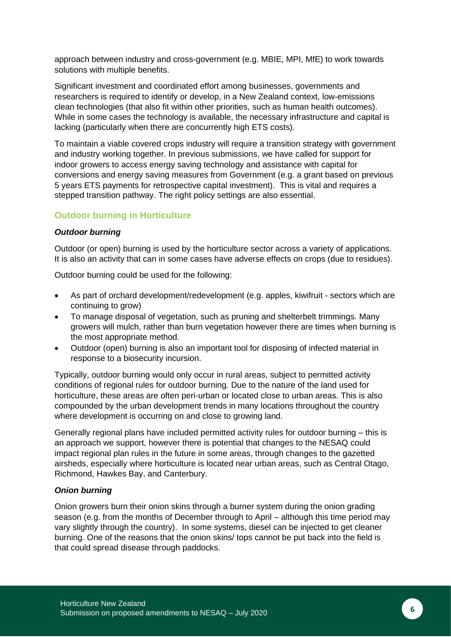approach between industry and cross-government (e.g. MBIE, MPI, MfE) to work towards solutions with multiple benefits.

Significant investment and coordinated effort among businesses, governments and researchers is required to identify or develop, in a New Zealand context, low-emissions clean technologies (that also fit within other priorities, such as human health outcomes). While in some cases the technology is available, the necessary infrastructure and capital is lacking (particularly when there are concurrently high ETS costs).

To maintain a viable covered crops industry will require a transition strategy with government and industry working together. In previous submissions, we have called for support for indoor growers to access energy saving technology and assistance with capital for conversions and energy saving measures from Government (e.g. a grant based on previous 5 years ETS payments for retrospective capital investment). This is vital and requires a stepped transition pathway. The right policy settings are also essential.

#### **Outdoor burning in Horticulture**

#### *Outdoor burning*

Outdoor (or open) burning is used by the horticulture sector across a variety of applications. It is also an activity that can in some cases have adverse effects on crops (due to residues).

Outdoor burning could be used for the following:

- As part of orchard development/redevelopment (e.g. apples, kiwifruit sectors which are continuing to grow)
- To manage disposal of vegetation, such as pruning and shelterbelt trimmings. Many growers will mulch, rather than burn vegetation however there are times when burning is the most appropriate method.
- Outdoor (open) burning is also an important tool for disposing of infected material in response to a biosecurity incursion.

Typically, outdoor burning would only occur in rural areas, subject to permitted activity conditions of regional rules for outdoor burning. Due to the nature of the land used for horticulture, these areas are often peri-urban or located close to urban areas. This is also compounded by the urban development trends in many locations throughout the country where development is occurring on and close to growing land.

Generally regional plans have included permitted activity rules for outdoor burning – this is an approach we support, however there is potential that changes to the NESAQ could impact regional plan rules in the future in some areas, through changes to the gazetted airsheds, especially where horticulture is located near urban areas, such as Central Otago, Richmond, Hawkes Bay, and Canterbury.

#### *Onion burning*

Onion growers burn their onion skins through a burner system during the onion grading season (e.g. from the months of December through to April – although this time period may vary slightly through the country). In some systems, diesel can be injected to get cleaner burning. One of the reasons that the onion skins/ tops cannot be put back into the field is that could spread disease through paddocks.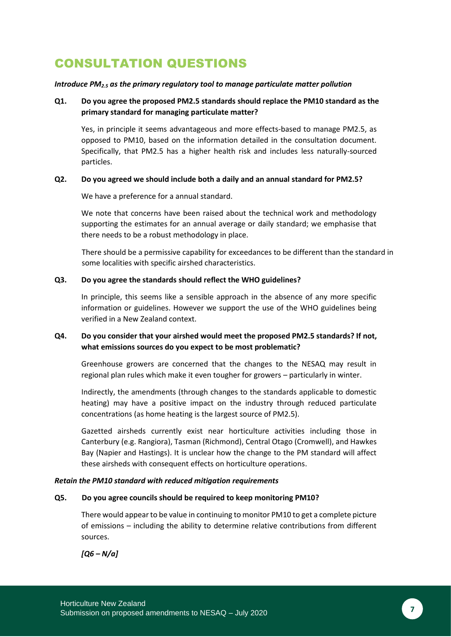## CONSULTATION QUESTIONS

#### *Introduce PM2.5 as the primary regulatory tool to manage particulate matter pollution*

#### **Q1. Do you agree the proposed PM2.5 standards should replace the PM10 standard as the primary standard for managing particulate matter?**

Yes, in principle it seems advantageous and more effects-based to manage PM2.5, as opposed to PM10, based on the information detailed in the consultation document. Specifically, that PM2.5 has a higher health risk and includes less naturally-sourced particles.

#### **Q2. Do you agreed we should include both a daily and an annual standard for PM2.5?**

We have a preference for a annual standard.

We note that concerns have been raised about the technical work and methodology supporting the estimates for an annual average or daily standard; we emphasise that there needs to be a robust methodology in place.

There should be a permissive capability for exceedances to be different than the standard in some localities with specific airshed characteristics.

#### **Q3. Do you agree the standards should reflect the WHO guidelines?**

In principle, this seems like a sensible approach in the absence of any more specific information or guidelines. However we support the use of the WHO guidelines being verified in a New Zealand context.

#### **Q4. Do you consider that your airshed would meet the proposed PM2.5 standards? If not, what emissions sources do you expect to be most problematic?**

Greenhouse growers are concerned that the changes to the NESAQ may result in regional plan rules which make it even tougher for growers – particularly in winter.

Indirectly, the amendments (through changes to the standards applicable to domestic heating) may have a positive impact on the industry through reduced particulate concentrations (as home heating is the largest source of PM2.5).

Gazetted airsheds currently exist near horticulture activities including those in Canterbury (e.g. Rangiora), Tasman (Richmond), Central Otago (Cromwell), and Hawkes Bay (Napier and Hastings). It is unclear how the change to the PM standard will affect these airsheds with consequent effects on horticulture operations.

#### *Retain the PM10 standard with reduced mitigation requirements*

#### **Q5. Do you agree councils should be required to keep monitoring PM10?**

There would appear to be value in continuing to monitor PM10 to get a complete picture of emissions – including the ability to determine relative contributions from different sources.

*[Q6 – N/a]*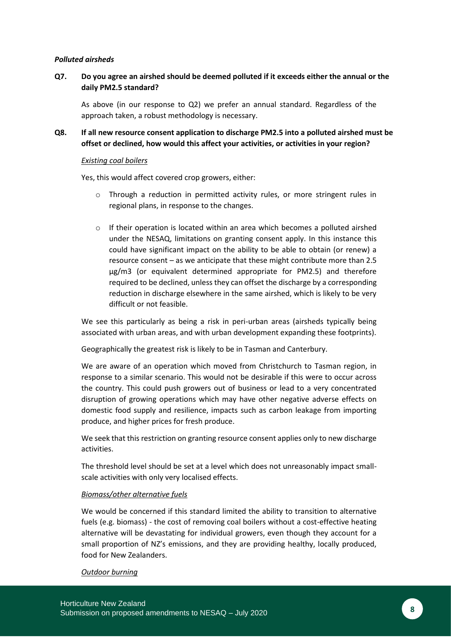#### *Polluted airsheds*

#### **Q7. Do you agree an airshed should be deemed polluted if it exceeds either the annual or the daily PM2.5 standard?**

As above (in our response to Q2) we prefer an annual standard. Regardless of the approach taken, a robust methodology is necessary.

#### **Q8. If all new resource consent application to discharge PM2.5 into a polluted airshed must be offset or declined, how would this affect your activities, or activities in your region?**

#### *Existing coal boilers*

Yes, this would affect covered crop growers, either:

- o Through a reduction in permitted activity rules, or more stringent rules in regional plans, in response to the changes.
- $\circ$  If their operation is located within an area which becomes a polluted airshed under the NESAQ, limitations on granting consent apply. In this instance this could have significant impact on the ability to be able to obtain (or renew) a resource consent – as we anticipate that these might contribute more than 2.5 µg/m3 (or equivalent determined appropriate for PM2.5) and therefore required to be declined, unless they can offset the discharge by a corresponding reduction in discharge elsewhere in the same airshed, which is likely to be very difficult or not feasible.

We see this particularly as being a risk in peri-urban areas (airsheds typically being associated with urban areas, and with urban development expanding these footprints).

Geographically the greatest risk is likely to be in Tasman and Canterbury.

We are aware of an operation which moved from Christchurch to Tasman region, in response to a similar scenario. This would not be desirable if this were to occur across the country. This could push growers out of business or lead to a very concentrated disruption of growing operations which may have other negative adverse effects on domestic food supply and resilience, impacts such as carbon leakage from importing produce, and higher prices for fresh produce.

We seek that this restriction on granting resource consent applies only to new discharge activities.

The threshold level should be set at a level which does not unreasonably impact smallscale activities with only very localised effects.

#### *Biomass/other alternative fuels*

We would be concerned if this standard limited the ability to transition to alternative fuels (e.g. biomass) - the cost of removing coal boilers without a cost-effective heating alternative will be devastating for individual growers, even though they account for a small proportion of NZ's emissions, and they are providing healthy, locally produced, food for New Zealanders.

#### *Outdoor burning*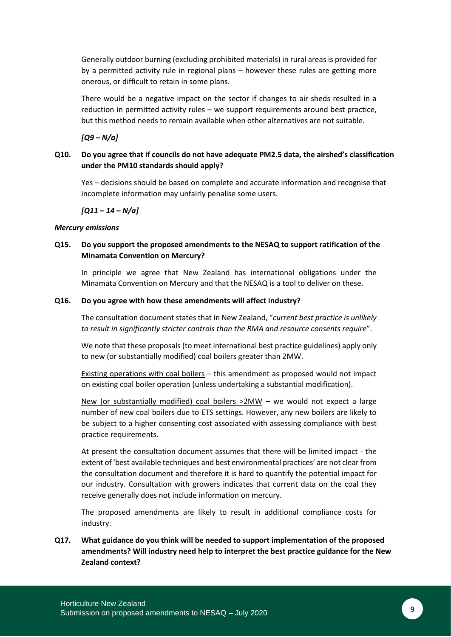Generally outdoor burning (excluding prohibited materials) in rural areas is provided for by a permitted activity rule in regional plans – however these rules are getting more onerous, or difficult to retain in some plans.

There would be a negative impact on the sector if changes to air sheds resulted in a reduction in permitted activity rules – we support requirements around best practice, but this method needs to remain available when other alternatives are not suitable.

*[Q9 – N/a]*

#### **Q10. Do you agree that if councils do not have adequate PM2.5 data, the airshed's classification under the PM10 standards should apply?**

Yes – decisions should be based on complete and accurate information and recognise that incomplete information may unfairly penalise some users.

*[Q11 – 14 – N/a]*

#### *Mercury emissions*

#### **Q15. Do you support the proposed amendments to the NESAQ to support ratification of the Minamata Convention on Mercury?**

In principle we agree that New Zealand has international obligations under the Minamata Convention on Mercury and that the NESAQ is a tool to deliver on these.

#### **Q16. Do you agree with how these amendments will affect industry?**

The consultation document states that in New Zealand, "*current best practice is unlikely to result in significantly stricter controls than the RMA and resource consents require*".

We note that these proposals (to meet international best practice guidelines) apply only to new (or substantially modified) coal boilers greater than 2MW.

Existing operations with coal boilers – this amendment as proposed would not impact on existing coal boiler operation (unless undertaking a substantial modification).

New (or substantially modified) coal boilers >2MW – we would not expect a large number of new coal boilers due to ETS settings. However, any new boilers are likely to be subject to a higher consenting cost associated with assessing compliance with best practice requirements.

At present the consultation document assumes that there will be limited impact - the extent of 'best available techniques and best environmental practices' are not clear from the consultation document and therefore it is hard to quantify the potential impact for our industry. Consultation with growers indicates that current data on the coal they receive generally does not include information on mercury.

The proposed amendments are likely to result in additional compliance costs for industry.

**Q17. What guidance do you think will be needed to support implementation of the proposed amendments? Will industry need help to interpret the best practice guidance for the New Zealand context?**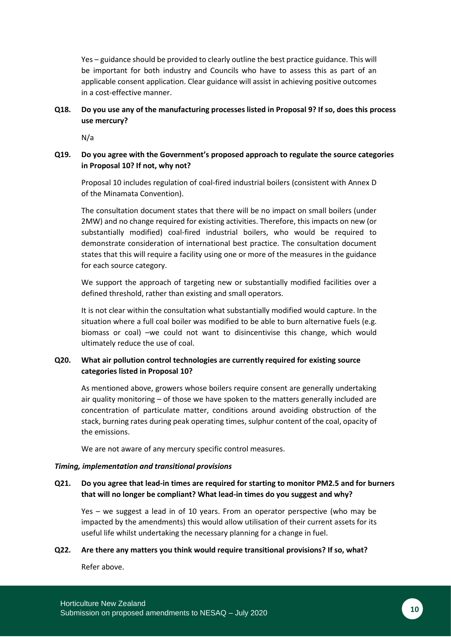Yes – guidance should be provided to clearly outline the best practice guidance. This will be important for both industry and Councils who have to assess this as part of an applicable consent application. Clear guidance will assist in achieving positive outcomes in a cost-effective manner.

#### **Q18. Do you use any of the manufacturing processes listed in Proposal 9? If so, does this process use mercury?**

N/a

#### **Q19. Do you agree with the Government's proposed approach to regulate the source categories in Proposal 10? If not, why not?**

Proposal 10 includes regulation of coal-fired industrial boilers (consistent with Annex D of the Minamata Convention).

The consultation document states that there will be no impact on small boilers (under 2MW) and no change required for existing activities. Therefore, this impacts on new (or substantially modified) coal-fired industrial boilers, who would be required to demonstrate consideration of international best practice. The consultation document states that this will require a facility using one or more of the measures in the guidance for each source category.

We support the approach of targeting new or substantially modified facilities over a defined threshold, rather than existing and small operators.

It is not clear within the consultation what substantially modified would capture. In the situation where a full coal boiler was modified to be able to burn alternative fuels (e.g. biomass or coal) –we could not want to disincentivise this change, which would ultimately reduce the use of coal.

#### **Q20. What air pollution control technologies are currently required for existing source categories listed in Proposal 10?**

As mentioned above, growers whose boilers require consent are generally undertaking air quality monitoring – of those we have spoken to the matters generally included are concentration of particulate matter, conditions around avoiding obstruction of the stack, burning rates during peak operating times, sulphur content of the coal, opacity of the emissions.

We are not aware of any mercury specific control measures.

#### *Timing, implementation and transitional provisions*

#### **Q21. Do you agree that lead-in times are required for starting to monitor PM2.5 and for burners that will no longer be compliant? What lead-in times do you suggest and why?**

Yes – we suggest a lead in of 10 years. From an operator perspective (who may be impacted by the amendments) this would allow utilisation of their current assets for its useful life whilst undertaking the necessary planning for a change in fuel.

#### **Q22. Are there any matters you think would require transitional provisions? If so, what?**

Refer above.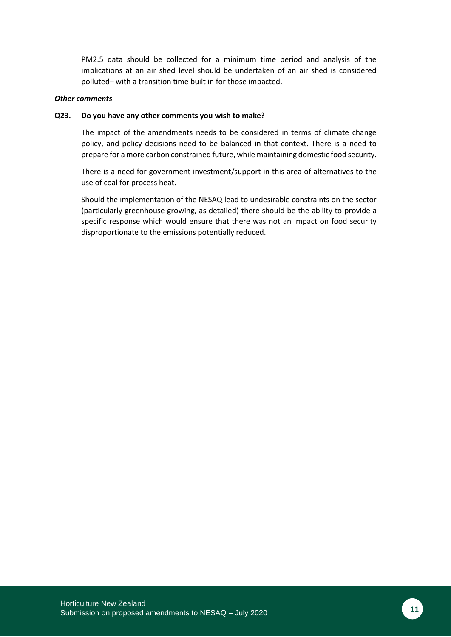PM2.5 data should be collected for a minimum time period and analysis of the implications at an air shed level should be undertaken of an air shed is considered polluted– with a transition time built in for those impacted.

#### *Other comments*

#### **Q23. Do you have any other comments you wish to make?**

The impact of the amendments needs to be considered in terms of climate change policy, and policy decisions need to be balanced in that context. There is a need to prepare for a more carbon constrained future, while maintaining domestic food security.

There is a need for government investment/support in this area of alternatives to the use of coal for process heat.

Should the implementation of the NESAQ lead to undesirable constraints on the sector (particularly greenhouse growing, as detailed) there should be the ability to provide a specific response which would ensure that there was not an impact on food security disproportionate to the emissions potentially reduced.